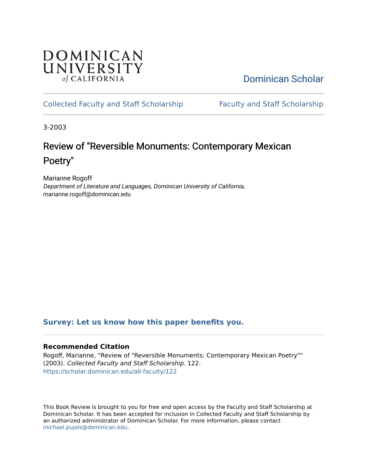## **DOMINICAN** UNIVERSITY of CALIFORNIA

[Dominican Scholar](https://scholar.dominican.edu/) 

## [Collected Faculty and Staff Scholarship](https://scholar.dominican.edu/all-faculty) [Faculty and Staff Scholarship](https://scholar.dominican.edu/faculty-scholarship)

3-2003

# Review of "Reversible Monuments: Contemporary Mexican Poetry"

Marianne Rogoff Department of Literature and Languages, Dominican University of California, marianne.rogoff@dominican.edu

## **[Survey: Let us know how this paper benefits you.](https://dominican.libwizard.com/dominican-scholar-feedback)**

### **Recommended Citation**

Rogoff, Marianne, "Review of "Reversible Monuments: Contemporary Mexican Poetry"" (2003). Collected Faculty and Staff Scholarship. 122. [https://scholar.dominican.edu/all-faculty/122](https://scholar.dominican.edu/all-faculty/122?utm_source=scholar.dominican.edu%2Fall-faculty%2F122&utm_medium=PDF&utm_campaign=PDFCoverPages) 

This Book Review is brought to you for free and open access by the Faculty and Staff Scholarship at Dominican Scholar. It has been accepted for inclusion in Collected Faculty and Staff Scholarship by an authorized administrator of Dominican Scholar. For more information, please contact [michael.pujals@dominican.edu.](mailto:michael.pujals@dominican.edu)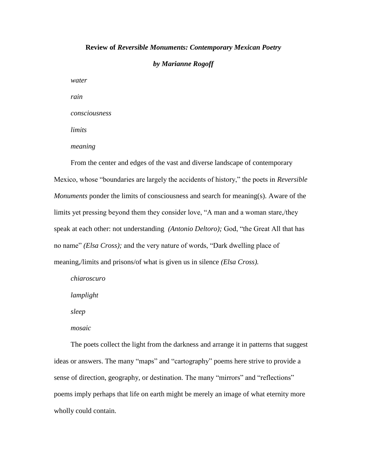#### **Review of** *Reversible Monuments: Contemporary Mexican Poetry*

*by Marianne Rogoff*

*water*

*rain*

*consciousness*

*limits*

*meaning*

From the center and edges of the vast and diverse landscape of contemporary Mexico, whose "boundaries are largely the accidents of history," the poets in *Reversible Monuments* ponder the limits of consciousness and search for meaning(s). Aware of the limits yet pressing beyond them they consider love, "A man and a woman stare,/they speak at each other: not understanding *(Antonio Deltoro);* God, "the Great All that has no name" *(Elsa Cross);* and the very nature of words, "Dark dwelling place of meaning,/limits and prisons/of what is given us in silence *(Elsa Cross).*

*chiaroscuro lamplight*

*sleep*

*mosaic*

The poets collect the light from the darkness and arrange it in patterns that suggest ideas or answers. The many "maps" and "cartography" poems here strive to provide a sense of direction, geography, or destination. The many "mirrors" and "reflections" poems imply perhaps that life on earth might be merely an image of what eternity more wholly could contain.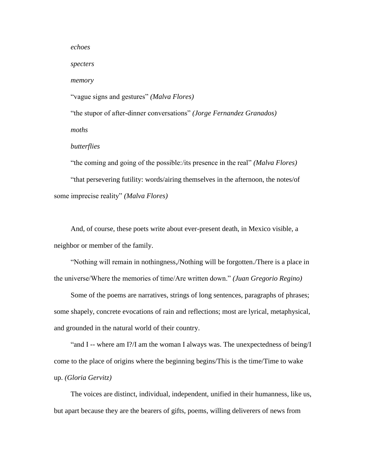*echoes*

*specters*

*memory*

"vague signs and gestures" *(Malva Flores)*

"the stupor of after-dinner conversations" *(Jorge Fernandez Granados) moths*

*butterflies*

"the coming and going of the possible:/its presence in the real" *(Malva Flores)* "that persevering futility: words/airing themselves in the afternoon, the notes/of some imprecise reality" *(Malva Flores)*

And, of course, these poets write about ever-present death, in Mexico visible, a neighbor or member of the family.

"Nothing will remain in nothingness,/Nothing will be forgotten./There is a place in the universe/Where the memories of time/Are written down." *(Juan Gregorio Regino)*

Some of the poems are narratives, strings of long sentences, paragraphs of phrases; some shapely, concrete evocations of rain and reflections; most are lyrical, metaphysical, and grounded in the natural world of their country.

"and I -- where am I?/I am the woman I always was. The unexpectedness of being/I come to the place of origins where the beginning begins/This is the time/Time to wake up. *(Gloria Gervitz)*

The voices are distinct, individual, independent, unified in their humanness, like us, but apart because they are the bearers of gifts, poems, willing deliverers of news from